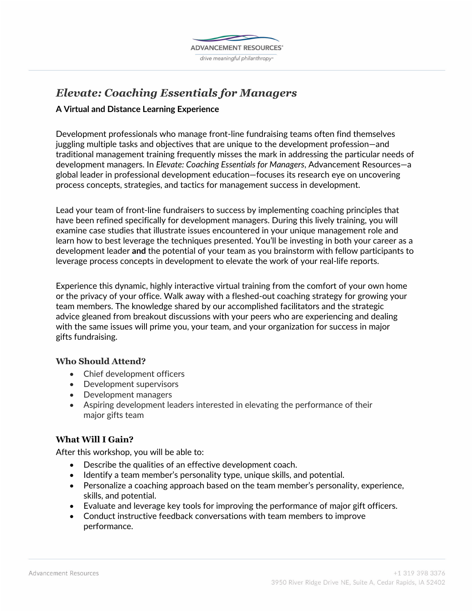

# *Elevate: Coaching Essentials for Managers*

## **A Virtual and Distance Learning Experience**

Development professionals who manage front-line fundraising teams often find themselves juggling multiple tasks and objectives that are unique to the development profession—and traditional management training frequently misses the mark in addressing the particular needs of development managers. In *Elevate: Coaching Essentials for Managers*, Advancement Resources—a global leader in professional development education—focuses its research eye on uncovering process concepts, strategies, and tactics for management success in development.

Lead your team of front-line fundraisers to success by implementing coaching principles that have been refined specifically for development managers. During this lively training, you will examine case studies that illustrate issues encountered in your unique management role and learn how to best leverage the techniques presented. You'll be investing in both your career as a development leader **and** the potential of your team as you brainstorm with fellow participants to leverage process concepts in development to elevate the work of your real-life reports.

Experience this dynamic, highly interactive virtual training from the comfort of your own home or the privacy of your office. Walk away with a fleshed-out coaching strategy for growing your team members. The knowledge shared by our accomplished facilitators and the strategic advice gleaned from breakout discussions with your peers who are experiencing and dealing with the same issues will prime you, your team, and your organization for success in major gifts fundraising.

## **Who Should Attend?**

- Chief development officers
- Development supervisors
- Development managers
- Aspiring development leaders interested in elevating the performance of their major gifts team

# **What Will I Gain?**

After this workshop, you will be able to:

- Describe the qualities of an effective development coach.
- Identify a team member's personality type, unique skills, and potential.
- Personalize a coaching approach based on the team member's personality, experience, skills, and potential.
- Evaluate and leverage key tools for improving the performance of major gift officers.
- Conduct instructive feedback conversations with team members to improve performance.